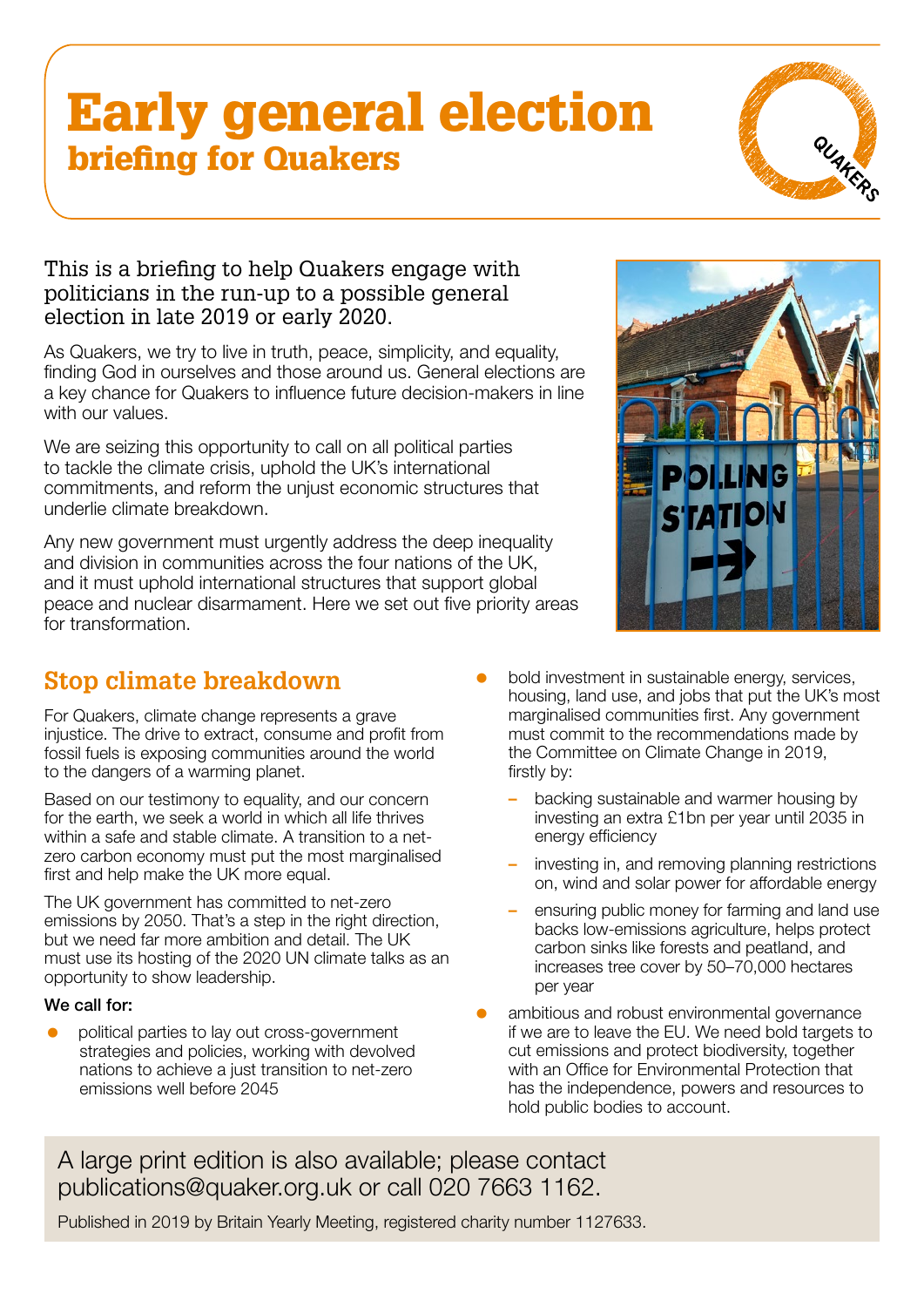# Early general election briefing for Quakers



### This is a briefing to help Quakers engage with politicians in the run-up to a possible general election in late 2019 or early 2020.

As Quakers, we try to live in truth, peace, simplicity, and equality, finding God in ourselves and those around us. General elections are a key chance for Quakers to influence future decision-makers in line with our values.

We are seizing this opportunity to call on all political parties to tackle the climate crisis, uphold the UK's international commitments, and reform the unjust economic structures that underlie climate breakdown.

Any new government must urgently address the deep inequality and division in communities across the four nations of the UK, and it must uphold international structures that support global peace and nuclear disarmament. Here we set out five priority areas for transformation.



### **[Stop climate breakdown](https://www.quaker.org.uk/climate-justice)**

For Quakers, climate change represents a grave injustice. The drive to extract, consume and profit from fossil fuels is exposing communities around the world to the dangers of a warming planet.

Based on our testimony to equality, and our concern for the earth, we seek a world in which all life thrives within a safe and stable climate. A transition to a netzero carbon economy must put the most marginalised first and help make the UK more equal.

The UK government has committed to net-zero emissions by 2050. That's a step in the right direction, but we need far more ambition and detail. The UK must use its hosting of the 2020 UN climate talks as an opportunity to show leadership.

#### We call for:

= political parties to lay out cross-government strategies and policies, working with devolved nations to achieve a just transition to net-zero emissions well before 2045

- bold investment in sustainable energy, services, housing, land use, and jobs that put the UK's most marginalised communities first. Any government must commit to the recommendations made by the Committee on Climate Change in 2019, firstly by:
	- backing sustainable and warmer housing by investing an extra £1bn per year until 2035 in energy efficiency
	- investing in, and removing planning restrictions on, wind and solar power for affordable energy
	- ensuring public money for farming and land use backs low-emissions agriculture, helps protect carbon sinks like forests and peatland, and increases tree cover by 50–70,000 hectares per year
- ambitious and robust environmental governance if we are to leave the EU. We need bold targets to cut emissions and protect biodiversity, together with an Office for Environmental Protection that has the independence, powers and resources to hold public bodies to account.

A large print edition is also available; please contact [publications@quaker.org.uk](mailto:publications%40quaker.org.uk?subject=Early%20general%20elections%20briefing%20%28Large%20Print%29) or call 020 7663 1162.

Published in 2019 by Britain Yearly Meeting, registered charity number 1127633.